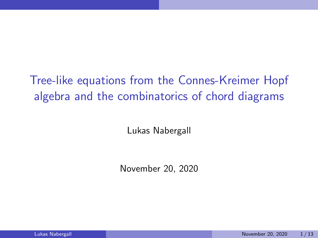# Tree-like equations from the Connes-Kreimer Hopf algebra and the combinatorics of chord diagrams

Lukas Nabergall

November 20, 2020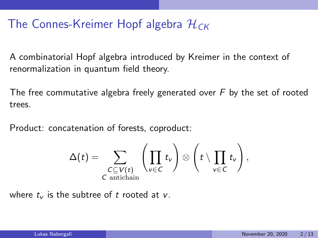## The Connes-Kreimer Hopf algebra  $\mathcal{H}_{CK}$

A combinatorial Hopf algebra introduced by Kreimer in the context of renormalization in quantum field theory.

The free commutative algebra freely generated over  $F$  by the set of rooted trees.

Product: concatenation of forests, coproduct:

$$
\Delta(t) = \sum_{\substack{C \subseteq V(t) \\ C \text{ antichain}}} \left(\prod_{v \in C} t_v\right) \otimes \left(t \setminus \prod_{v \in C} t_v\right),
$$

where  $t_v$  is the subtree of t rooted at v.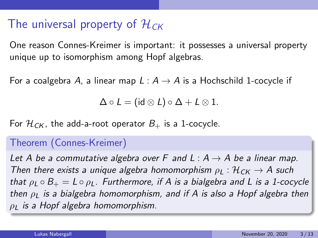### The universal property of  $\mathcal{H}_{CK}$

One reason Connes-Kreimer is important: it possesses a universal property unique up to isomorphism among Hopf algebras.

For a coalgebra A, a linear map  $L : A \rightarrow A$  is a Hochschild 1-cocycle if

$$
\Delta \circ L = (\mathsf{id} \otimes L) \circ \Delta + L \otimes 1.
$$

For  $\mathcal{H}_{CK}$ , the add-a-root operator  $B_+$  is a 1-cocycle.

#### Theorem (Connes-Kreimer)

Let A be a commutative algebra over F and L :  $A \rightarrow A$  be a linear map. Then there exists a unique algebra homomorphism  $\rho_L : \mathcal{H}_{CK} \to A$  such that  $\rho_L \circ B_+ = L \circ \rho_L$ . Furthermore, if A is a bialgebra and L is a 1-cocycle then  $\rho_L$  is a bialgebra homomorphism, and if A is also a Hopf algebra then  $\rho_L$  is a Hopf algebra homomorphism.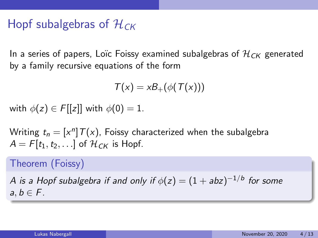### Hopf subalgebras of  $H_{CK}$

In a series of papers, Loïc Foissy examined subalgebras of  $\mathcal{H}_{CK}$  generated by a family recursive equations of the form

$$
T(x) = xB_{+}(\phi(T(x)))
$$

with  $\phi(z) \in F[[z]]$  with  $\phi(0) = 1$ .

Writing  $t_n = [x^n] T(x)$ , Foissy characterized when the subalgebra  $A = F[t_1, t_2, \ldots]$  of  $\mathcal{H}_{CK}$  is Hopf.

#### Theorem (Foissy)

A is a Hopf subalgebra if and only if  $\phi(z)=(1+abz)^{-1/b}$  for some  $a, b \in F$ .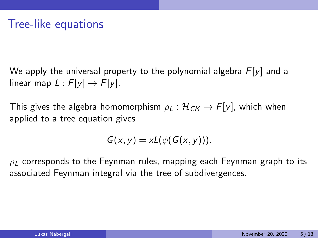We apply the universal property to the polynomial algebra  $F[y]$  and a linear map  $L : F[y] \rightarrow F[y]$ .

This gives the algebra homomorphism  $\rho_L : \mathcal{H}_{CK} \to F[y]$ , which when applied to a tree equation gives

$$
G(x,y)=xL(\phi(G(x,y))).
$$

 $\rho_L$  corresponds to the Feynman rules, mapping each Feynman graph to its associated Feynman integral via the tree of subdivergences.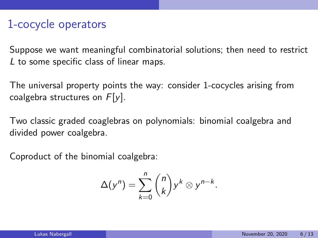#### 1-cocycle operators

Suppose we want meaningful combinatorial solutions; then need to restrict L to some specific class of linear maps.

The universal property points the way: consider 1-cocycles arising from coalgebra structures on  $F[y]$ .

Two classic graded coaglebras on polynomials: binomial coalgebra and divided power coalgebra.

Coproduct of the binomial coalgebra:

$$
\Delta(y^n) = \sum_{k=0}^n \binom{n}{k} y^k \otimes y^{n-k}.
$$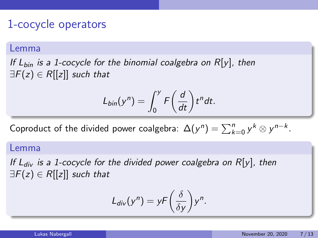#### 1-cocycle operators

#### Lemma

If  $L_{bin}$  is a 1-cocycle for the binomial coalgebra on  $R[y]$ , then  $\exists F(z) \in R[[z]]$  such that

$$
L_{bin}(y^n) = \int_0^y F\left(\frac{d}{dt}\right) t^n dt.
$$

Coproduct of the divided power coalgebra:  $\Delta(y^n) = \sum_{k=0}^n y^k \otimes y^{n-k}$ .

#### Lemma

If  $L_{div}$  is a 1-cocycle for the divided power coalgebra on  $R[y]$ , then  $\exists F(z) \in R[[z]]$  such that

$$
L_{div}(y^n) = yF\left(\frac{\delta}{\delta y}\right)y^n.
$$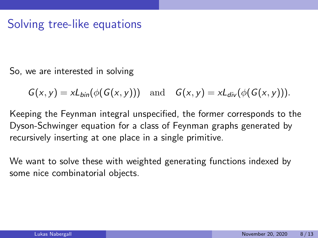#### Solving tree-like equations

So, we are interested in solving

 $G(x, y) = xL_{bin}(\phi(G(x, y)))$  and  $G(x, y) = xL_{div}(\phi(G(x, y))).$ 

Keeping the Feynman integral unspecified, the former corresponds to the Dyson-Schwinger equation for a class of Feynman graphs generated by recursively inserting at one place in a single primitive.

We want to solve these with weighted generating functions indexed by some nice combinatorial objects.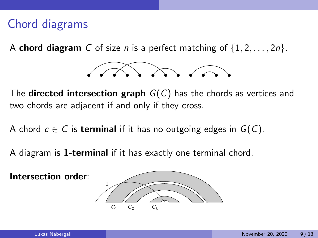## Chord diagrams

A **chord diagram** C of size *n* is a perfect matching of  $\{1, 2, \ldots, 2n\}$ .



The **directed intersection graph**  $G(C)$  has the chords as vertices and two chords are adjacent if and only if they cross.

A chord  $c \in C$  is **terminal** if it has no outgoing edges in  $G(C)$ .

A diagram is 1-terminal if it has exactly one terminal chord.

Intersection order:

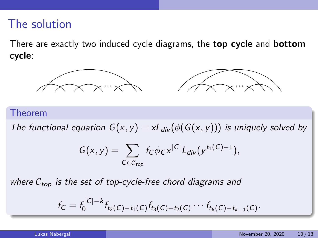### The solution

There are exactly two induced cycle diagrams, the **top cycle** and **bottom** cycle:



#### Theorem

The functional equation  $G(x, y) = xL_{div}(\phi(G(x, y)))$  is uniquely solved by

$$
G(x,y)=\sum_{C\in\mathcal{C}_{top}}f_C\phi_Cx^{|C|}L_{div}(y^{t_1(C)-1}),
$$

where  $C_{top}$  is the set of top-cycle-free chord diagrams and

$$
f_C = f_0^{|C|-k} f_{t_2(C)-t_1(C)} f_{t_3(C)-t_2(C)} \cdots f_{t_k(C)-t_{k-1}(C)}.
$$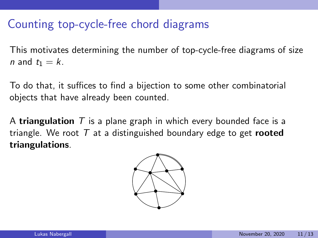### Counting top-cycle-free chord diagrams

This motivates determining the number of top-cycle-free diagrams of size n and  $t_1 = k$ .

To do that, it suffices to find a bijection to some other combinatorial objects that have already been counted.

A **triangulation**  $T$  is a plane graph in which every bounded face is a triangle. We root  $T$  at a distinguished boundary edge to get **rooted** triangulations.

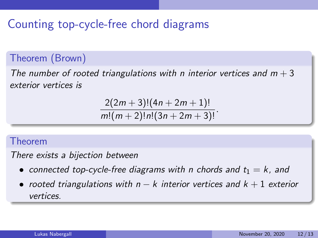## Counting top-cycle-free chord diagrams

#### Theorem (Brown)

The number of rooted triangulations with n interior vertices and  $m + 3$ exterior vertices is

$$
\frac{2(2m+3)!(4n+2m+1)!}{m!(m+2)!n!(3n+2m+3)!}.
$$

#### Theorem

There exists a bijection between

- connected top-cycle-free diagrams with n chords and  $t_1 = k$ , and
- rooted triangulations with  $n k$  interior vertices and  $k + 1$  exterior vertices.